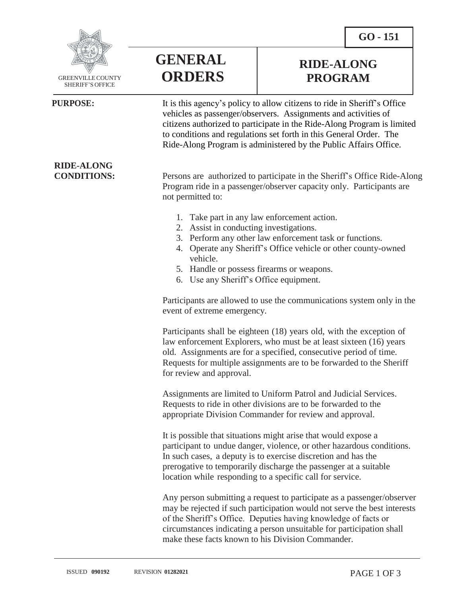**RIDE-ALONG PROGRAM**



GREENVILLECOUNTY SHERIFF'S OFFICE

## **PURPOSE:** It is this agency's policy to allow citizens to ride in Sheriff's Office

vehicles as passenger/observers. Assignments and activities of citizens authorized to participate in the Ride-Along Program is limited to conditions and regulations set forth in this General Order. The Ride-Along Program is administered by the Public Affairs Office.

**CONDITIONS:** Persons are authorized to participate in the Sheriff's Office Ride-Along Program ride in a passenger/observer capacity only. Participants are not permitted to:

- 1. Take part in any law enforcement action.
- 2. Assist in conducting investigations.

**GENERAL**

**ORDERS**

- 3. Perform any other law enforcement task or functions.
- 4. Operate any Sheriff's Office vehicle or other county-owned vehicle.
- 5. Handle or possess firearms or weapons.
- 6. Use any Sheriff's Office equipment.

Participants are allowed to use the communications system only in the event of extreme emergency.

Participants shall be eighteen (18) years old, with the exception of law enforcement Explorers, who must be at least sixteen (16) years old. Assignments are for a specified, consecutive period of time. Requests for multiple assignments are to be forwarded to the Sheriff for review and approval.

Assignments are limited to Uniform Patrol and Judicial Services. Requests to ride in other divisions are to be forwarded to the appropriate Division Commander for review and approval.

It is possible that situations might arise that would expose a participant to undue danger, violence, or other hazardous conditions. In such cases, a deputy is to exercise discretion and has the prerogative to temporarily discharge the passenger at a suitable location while responding to a specific call for service.

Any person submitting a request to participate as a passenger/observer may be rejected if such participation would not serve the best interests of the Sheriff's Office. Deputies having knowledge of facts or circumstances indicating a person unsuitable for participation shall make these facts known to his Division Commander.

**RIDE-ALONG**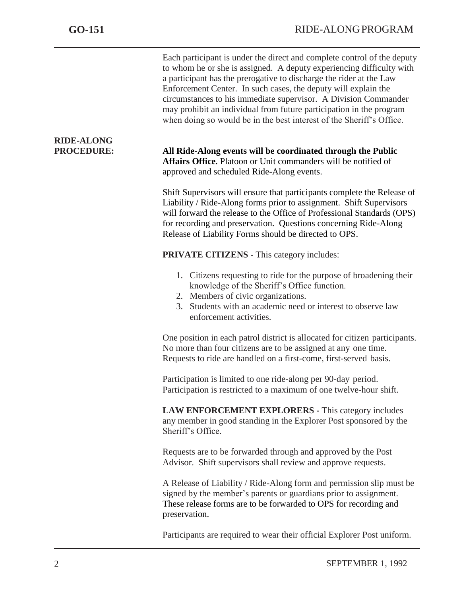|                                        | Each participant is under the direct and complete control of the deputy<br>to whom he or she is assigned. A deputy experiencing difficulty with<br>a participant has the prerogative to discharge the rider at the Law<br>Enforcement Center. In such cases, the deputy will explain the<br>circumstances to his immediate supervisor. A Division Commander<br>may prohibit an individual from future participation in the program<br>when doing so would be in the best interest of the Sheriff's Office. |
|----------------------------------------|------------------------------------------------------------------------------------------------------------------------------------------------------------------------------------------------------------------------------------------------------------------------------------------------------------------------------------------------------------------------------------------------------------------------------------------------------------------------------------------------------------|
| <b>RIDE-ALONG</b><br><b>PROCEDURE:</b> | All Ride-Along events will be coordinated through the Public<br>Affairs Office. Platoon or Unit commanders will be notified of<br>approved and scheduled Ride-Along events.                                                                                                                                                                                                                                                                                                                                |
|                                        | Shift Supervisors will ensure that participants complete the Release of<br>Liability / Ride-Along forms prior to assignment. Shift Supervisors<br>will forward the release to the Office of Professional Standards (OPS)<br>for recording and preservation. Questions concerning Ride-Along<br>Release of Liability Forms should be directed to OPS.                                                                                                                                                       |
|                                        | <b>PRIVATE CITIZENS - This category includes:</b>                                                                                                                                                                                                                                                                                                                                                                                                                                                          |
|                                        | 1. Citizens requesting to ride for the purpose of broadening their<br>knowledge of the Sheriff's Office function.<br>2. Members of civic organizations.<br>Students with an academic need or interest to observe law<br>3.<br>enforcement activities.                                                                                                                                                                                                                                                      |
|                                        | One position in each patrol district is allocated for citizen participants.<br>No more than four citizens are to be assigned at any one time.<br>Requests to ride are handled on a first-come, first-served basis.                                                                                                                                                                                                                                                                                         |
|                                        | Participation is limited to one ride-along per 90-day period.<br>Participation is restricted to a maximum of one twelve-hour shift.                                                                                                                                                                                                                                                                                                                                                                        |
|                                        | LAW ENFORCEMENT EXPLORERS - This category includes<br>any member in good standing in the Explorer Post sponsored by the<br>Sheriff's Office.                                                                                                                                                                                                                                                                                                                                                               |
|                                        | Requests are to be forwarded through and approved by the Post<br>Advisor. Shift supervisors shall review and approve requests.                                                                                                                                                                                                                                                                                                                                                                             |
|                                        | A Release of Liability / Ride-Along form and permission slip must be<br>signed by the member's parents or guardians prior to assignment.<br>These release forms are to be forwarded to OPS for recording and<br>preservation.                                                                                                                                                                                                                                                                              |
|                                        |                                                                                                                                                                                                                                                                                                                                                                                                                                                                                                            |

Participants are required to wear their official Explorer Post uniform.